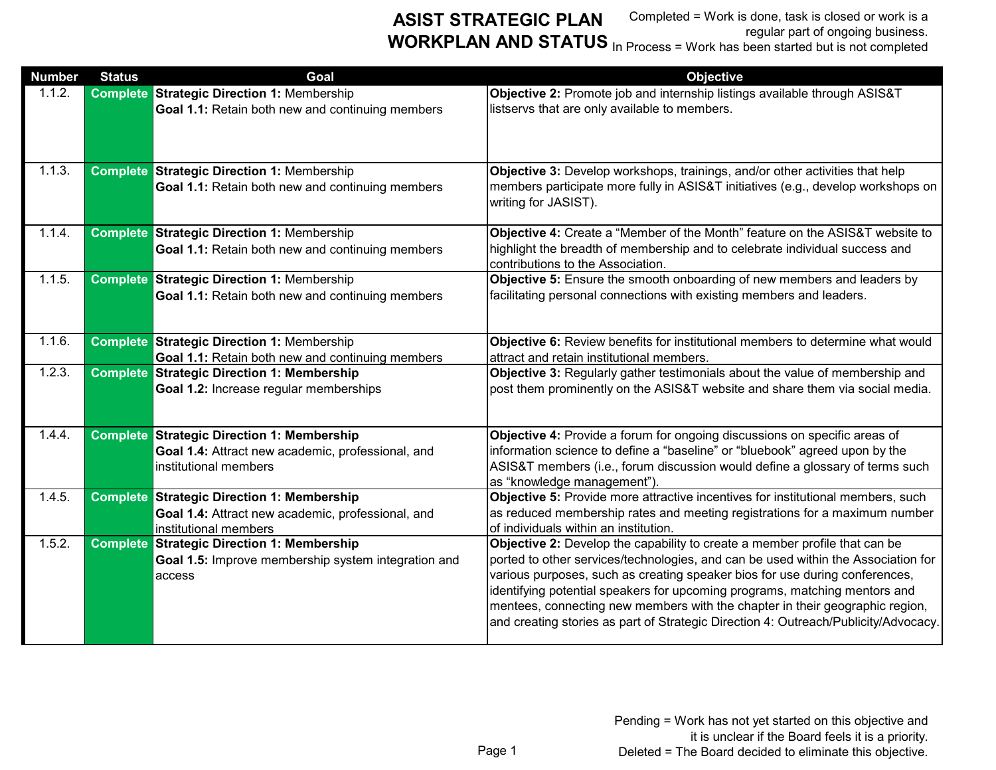| <b>Number</b> | <b>Status</b> | Goal                                                | <b>Objective</b>                                                                                                                                                    |
|---------------|---------------|-----------------------------------------------------|---------------------------------------------------------------------------------------------------------------------------------------------------------------------|
| 1.1.2.        |               | <b>Complete Strategic Direction 1: Membership</b>   | Objective 2: Promote job and internship listings available through ASIS&T                                                                                           |
|               |               | Goal 1.1: Retain both new and continuing members    | listservs that are only available to members.                                                                                                                       |
| 1.1.3.        |               | <b>Complete Strategic Direction 1: Membership</b>   | Objective 3: Develop workshops, trainings, and/or other activities that help                                                                                        |
|               |               | Goal 1.1: Retain both new and continuing members    | members participate more fully in ASIS&T initiatives (e.g., develop workshops on<br>writing for JASIST).                                                            |
| 1.1.4.        |               | <b>Complete Strategic Direction 1: Membership</b>   | Objective 4: Create a "Member of the Month" feature on the ASIS&T website to                                                                                        |
|               |               | Goal 1.1: Retain both new and continuing members    | highlight the breadth of membership and to celebrate individual success and<br>contributions to the Association.                                                    |
| 1.1.5.        |               | <b>Complete Strategic Direction 1: Membership</b>   | Objective 5: Ensure the smooth onboarding of new members and leaders by                                                                                             |
|               |               | Goal 1.1: Retain both new and continuing members    | facilitating personal connections with existing members and leaders.                                                                                                |
| 1.1.6.        |               | <b>Complete Strategic Direction 1: Membership</b>   | Objective 6: Review benefits for institutional members to determine what would                                                                                      |
|               |               | Goal 1.1: Retain both new and continuing members    | attract and retain institutional members.                                                                                                                           |
| 1.2.3.        |               | <b>Complete Strategic Direction 1: Membership</b>   | Objective 3: Regularly gather testimonials about the value of membership and                                                                                        |
|               |               | Goal 1.2: Increase regular memberships              | post them prominently on the ASIS&T website and share them via social media.                                                                                        |
| 1.4.4.        |               | <b>Complete Strategic Direction 1: Membership</b>   | Objective 4: Provide a forum for ongoing discussions on specific areas of                                                                                           |
|               |               | Goal 1.4: Attract new academic, professional, and   | information science to define a "baseline" or "bluebook" agreed upon by the                                                                                         |
|               |               | institutional members                               | ASIS&T members (i.e., forum discussion would define a glossary of terms such<br>as "knowledge management")                                                          |
| 1.4.5.        |               | <b>Complete Strategic Direction 1: Membership</b>   | Objective 5: Provide more attractive incentives for institutional members, such                                                                                     |
|               |               | Goal 1.4: Attract new academic, professional, and   | as reduced membership rates and meeting registrations for a maximum number                                                                                          |
|               |               | institutional members                               | of individuals within an institution.                                                                                                                               |
| 1.5.2.        |               | <b>Complete Strategic Direction 1: Membership</b>   | Objective 2: Develop the capability to create a member profile that can be                                                                                          |
|               |               | Goal 1.5: Improve membership system integration and | ported to other services/technologies, and can be used within the Association for                                                                                   |
|               |               | access                                              | various purposes, such as creating speaker bios for use during conferences,                                                                                         |
|               |               |                                                     | identifying potential speakers for upcoming programs, matching mentors and                                                                                          |
|               |               |                                                     | mentees, connecting new members with the chapter in their geographic region,<br>and creating stories as part of Strategic Direction 4: Outreach/Publicity/Advocacy. |
|               |               |                                                     |                                                                                                                                                                     |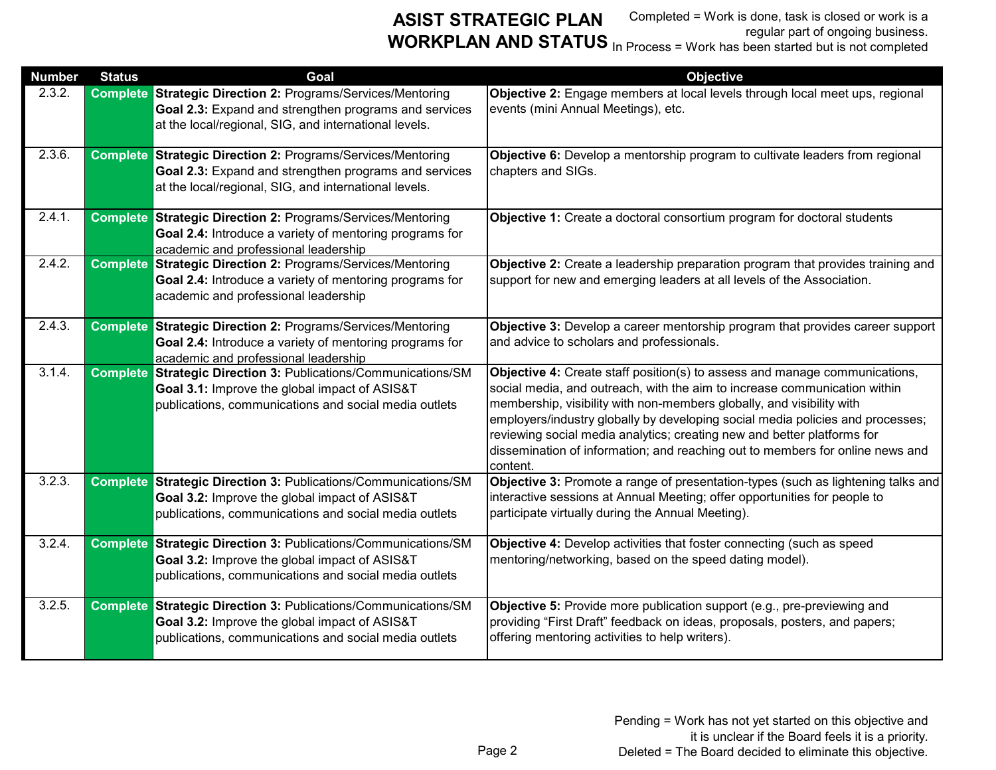| <b>Number</b> | <b>Status</b> | Goal                                                                                                                                                                                 | <b>Objective</b>                                                                                                                                                                                                                                                                                                                                                                                                                                                                           |
|---------------|---------------|--------------------------------------------------------------------------------------------------------------------------------------------------------------------------------------|--------------------------------------------------------------------------------------------------------------------------------------------------------------------------------------------------------------------------------------------------------------------------------------------------------------------------------------------------------------------------------------------------------------------------------------------------------------------------------------------|
| 2.3.2.        |               | <b>Complete Strategic Direction 2: Programs/Services/Mentoring</b><br>Goal 2.3: Expand and strengthen programs and services<br>at the local/regional, SIG, and international levels. | Objective 2: Engage members at local levels through local meet ups, regional<br>events (mini Annual Meetings), etc.                                                                                                                                                                                                                                                                                                                                                                        |
| 2.3.6.        |               | <b>Complete Strategic Direction 2: Programs/Services/Mentoring</b><br>Goal 2.3: Expand and strengthen programs and services<br>at the local/regional, SIG, and international levels. | Objective 6: Develop a mentorship program to cultivate leaders from regional<br>chapters and SIGs.                                                                                                                                                                                                                                                                                                                                                                                         |
| 2.4.1.        |               | <b>Complete Strategic Direction 2: Programs/Services/Mentoring</b><br>Goal 2.4: Introduce a variety of mentoring programs for<br>academic and professional leadership                | Objective 1: Create a doctoral consortium program for doctoral students                                                                                                                                                                                                                                                                                                                                                                                                                    |
| 2.4.2.        |               | <b>Complete Strategic Direction 2: Programs/Services/Mentoring</b><br>Goal 2.4: Introduce a variety of mentoring programs for<br>academic and professional leadership                | Objective 2: Create a leadership preparation program that provides training and<br>support for new and emerging leaders at all levels of the Association.                                                                                                                                                                                                                                                                                                                                  |
| 2.4.3.        |               | <b>Complete Strategic Direction 2: Programs/Services/Mentoring</b><br>Goal 2.4: Introduce a variety of mentoring programs for<br>academic and professional leadership                | Objective 3: Develop a career mentorship program that provides career support<br>and advice to scholars and professionals.                                                                                                                                                                                                                                                                                                                                                                 |
| 3.1.4.        |               | <b>Complete Strategic Direction 3: Publications/Communications/SM</b><br>Goal 3.1: Improve the global impact of ASIS&T<br>publications, communications and social media outlets      | Objective 4: Create staff position(s) to assess and manage communications,<br>social media, and outreach, with the aim to increase communication within<br>membership, visibility with non-members globally, and visibility with<br>employers/industry globally by developing social media policies and processes;<br>reviewing social media analytics; creating new and better platforms for<br>dissemination of information; and reaching out to members for online news and<br>content. |
| 3.2.3.        |               | <b>Complete Strategic Direction 3: Publications/Communications/SM</b><br>Goal 3.2: Improve the global impact of ASIS&T<br>publications, communications and social media outlets      | Objective 3: Promote a range of presentation-types (such as lightening talks and<br>interactive sessions at Annual Meeting; offer opportunities for people to<br>participate virtually during the Annual Meeting).                                                                                                                                                                                                                                                                         |
| 3.2.4.        |               | <b>Complete Strategic Direction 3: Publications/Communications/SM</b><br>Goal 3.2: Improve the global impact of ASIS&T<br>publications, communications and social media outlets      | Objective 4: Develop activities that foster connecting (such as speed<br>mentoring/networking, based on the speed dating model).                                                                                                                                                                                                                                                                                                                                                           |
| 3.2.5.        |               | <b>Complete Strategic Direction 3: Publications/Communications/SM</b><br>Goal 3.2: Improve the global impact of ASIS&T<br>publications, communications and social media outlets      | Objective 5: Provide more publication support (e.g., pre-previewing and<br>providing "First Draft" feedback on ideas, proposals, posters, and papers;<br>offering mentoring activities to help writers).                                                                                                                                                                                                                                                                                   |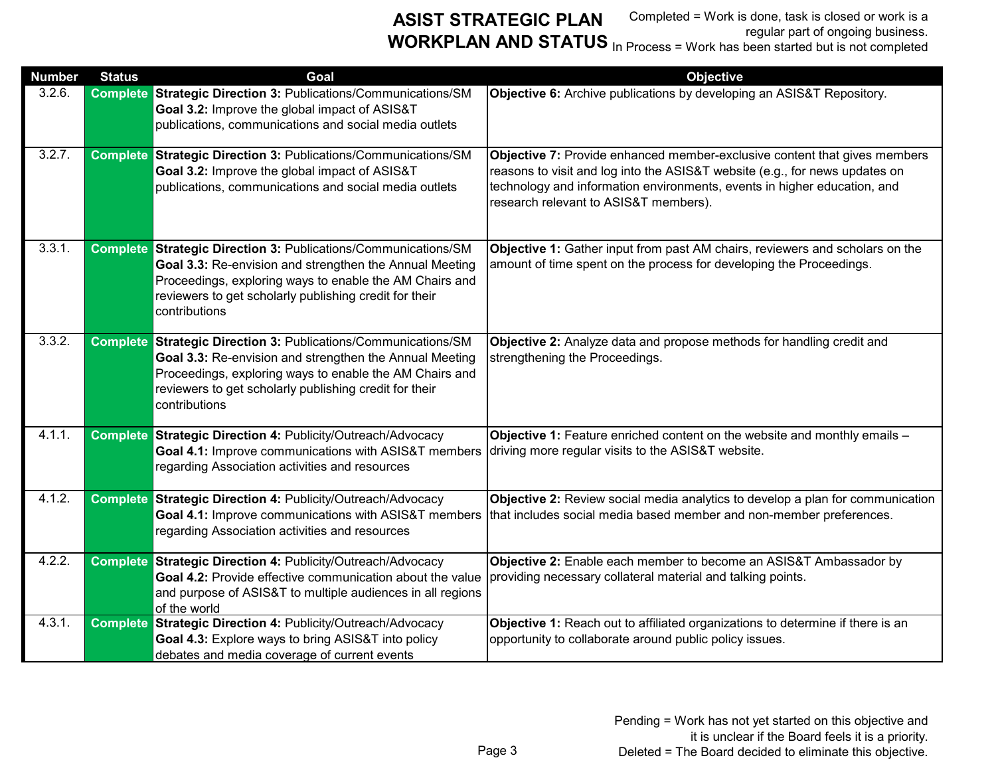| <b>Number</b> | <b>Status</b> | Goal                                                                                                                                                                                                                                                                   | <b>Objective</b>                                                                                                                                                                                                                                                              |
|---------------|---------------|------------------------------------------------------------------------------------------------------------------------------------------------------------------------------------------------------------------------------------------------------------------------|-------------------------------------------------------------------------------------------------------------------------------------------------------------------------------------------------------------------------------------------------------------------------------|
| 3.2.6.        |               | <b>Complete Strategic Direction 3: Publications/Communications/SM</b><br>Goal 3.2: Improve the global impact of ASIS&T<br>publications, communications and social media outlets                                                                                        | Objective 6: Archive publications by developing an ASIS&T Repository.                                                                                                                                                                                                         |
| 3.2.7.        |               | <b>Complete Strategic Direction 3: Publications/Communications/SM</b><br>Goal 3.2: Improve the global impact of ASIS&T<br>publications, communications and social media outlets                                                                                        | Objective 7: Provide enhanced member-exclusive content that gives members<br>reasons to visit and log into the ASIS&T website (e.g., for news updates on<br>technology and information environments, events in higher education, and<br>research relevant to ASIS&T members). |
| 3.3.1.        |               | <b>Complete Strategic Direction 3: Publications/Communications/SM</b><br>Goal 3.3: Re-envision and strengthen the Annual Meeting<br>Proceedings, exploring ways to enable the AM Chairs and<br>reviewers to get scholarly publishing credit for their<br>contributions | Objective 1: Gather input from past AM chairs, reviewers and scholars on the<br>amount of time spent on the process for developing the Proceedings.                                                                                                                           |
| 3.3.2.        |               | <b>Complete Strategic Direction 3: Publications/Communications/SM</b><br>Goal 3.3: Re-envision and strengthen the Annual Meeting<br>Proceedings, exploring ways to enable the AM Chairs and<br>reviewers to get scholarly publishing credit for their<br>contributions | Objective 2: Analyze data and propose methods for handling credit and<br>strengthening the Proceedings.                                                                                                                                                                       |
| 4.1.1.        |               | <b>Complete Strategic Direction 4: Publicity/Outreach/Advocacy</b><br>Goal 4.1: Improve communications with ASIS&T members<br>regarding Association activities and resources                                                                                           | Objective 1: Feature enriched content on the website and monthly emails -<br>driving more regular visits to the ASIS&T website.                                                                                                                                               |
| 4.1.2.        |               | <b>Complete Strategic Direction 4: Publicity/Outreach/Advocacy</b><br>Goal 4.1: Improve communications with ASIS&T members<br>regarding Association activities and resources                                                                                           | Objective 2: Review social media analytics to develop a plan for communication<br>that includes social media based member and non-member preferences.                                                                                                                         |
| 4.2.2.        |               | Complete Strategic Direction 4: Publicity/Outreach/Advocacy<br>Goal 4.2: Provide effective communication about the value<br>and purpose of ASIS&T to multiple audiences in all regions<br>of the world                                                                 | Objective 2: Enable each member to become an ASIS&T Ambassador by<br>providing necessary collateral material and talking points.                                                                                                                                              |
| 4.3.1.        |               | <b>Complete Strategic Direction 4: Publicity/Outreach/Advocacy</b><br>Goal 4.3: Explore ways to bring ASIS&T into policy<br>debates and media coverage of current events                                                                                               | Objective 1: Reach out to affiliated organizations to determine if there is an<br>opportunity to collaborate around public policy issues.                                                                                                                                     |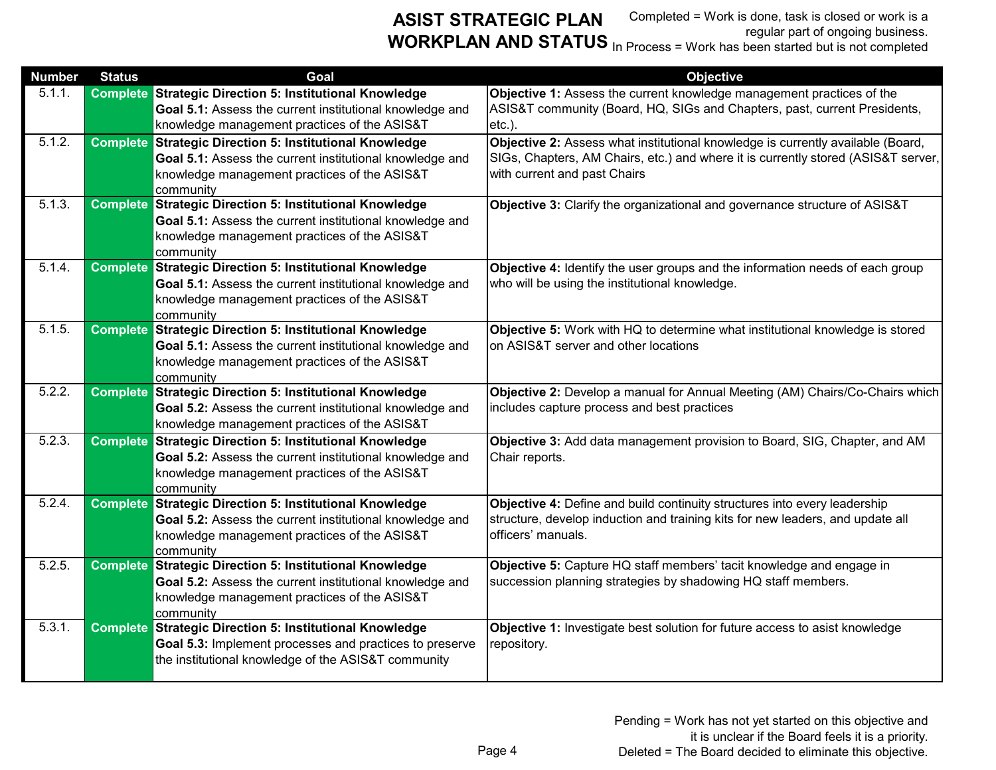| <b>Number</b> | <b>Status</b>   | Goal                                                                                                                                                                                    | <b>Objective</b>                                                                                                                                                                                     |
|---------------|-----------------|-----------------------------------------------------------------------------------------------------------------------------------------------------------------------------------------|------------------------------------------------------------------------------------------------------------------------------------------------------------------------------------------------------|
| 5.1.1.        | <b>Complete</b> | <b>Strategic Direction 5: Institutional Knowledge</b><br>Goal 5.1: Assess the current institutional knowledge and<br>knowledge management practices of the ASIS&T                       | Objective 1: Assess the current knowledge management practices of the<br>ASIS&T community (Board, HQ, SIGs and Chapters, past, current Presidents,<br>$etc.$ ).                                      |
| 5.1.2.        | <b>Complete</b> | Strategic Direction 5: Institutional Knowledge<br>Goal 5.1: Assess the current institutional knowledge and<br>knowledge management practices of the ASIS&T<br>community                 | Objective 2: Assess what institutional knowledge is currently available (Board,<br>SIGs, Chapters, AM Chairs, etc.) and where it is currently stored (ASIS&T server,<br>with current and past Chairs |
| 5.1.3.        |                 | <b>Complete Strategic Direction 5: Institutional Knowledge</b><br>Goal 5.1: Assess the current institutional knowledge and<br>knowledge management practices of the ASIS&T<br>community | Objective 3: Clarify the organizational and governance structure of ASIS&T                                                                                                                           |
| 5.1.4.        |                 | <b>Complete Strategic Direction 5: Institutional Knowledge</b><br>Goal 5.1: Assess the current institutional knowledge and<br>knowledge management practices of the ASIS&T<br>community | Objective 4: Identify the user groups and the information needs of each group<br>who will be using the institutional knowledge.                                                                      |
| 5.1.5.        | <b>Complete</b> | <b>Strategic Direction 5: Institutional Knowledge</b><br>Goal 5.1: Assess the current institutional knowledge and<br>knowledge management practices of the ASIS&T<br>community          | Objective 5: Work with HQ to determine what institutional knowledge is stored<br>on ASIS&T server and other locations                                                                                |
| 5.2.2.        |                 | <b>Complete Strategic Direction 5: Institutional Knowledge</b><br>Goal 5.2: Assess the current institutional knowledge and<br>knowledge management practices of the ASIS&T              | Objective 2: Develop a manual for Annual Meeting (AM) Chairs/Co-Chairs which<br>includes capture process and best practices                                                                          |
| 5.2.3.        |                 | <b>Complete Strategic Direction 5: Institutional Knowledge</b><br>Goal 5.2: Assess the current institutional knowledge and<br>knowledge management practices of the ASIS&T<br>community | Objective 3: Add data management provision to Board, SIG, Chapter, and AM<br>Chair reports.                                                                                                          |
| 5.2.4         | <b>Complete</b> | <b>Strategic Direction 5: Institutional Knowledge</b><br>Goal 5.2: Assess the current institutional knowledge and<br>knowledge management practices of the ASIS&T<br>community          | Objective 4: Define and build continuity structures into every leadership<br>structure, develop induction and training kits for new leaders, and update all<br>officers' manuals.                    |
| 5.2.5.        |                 | <b>Complete Strategic Direction 5: Institutional Knowledge</b><br>Goal 5.2: Assess the current institutional knowledge and<br>knowledge management practices of the ASIS&T<br>community | Objective 5: Capture HQ staff members' tacit knowledge and engage in<br>succession planning strategies by shadowing HQ staff members.                                                                |
| 5.3.1.        |                 | <b>Complete Strategic Direction 5: Institutional Knowledge</b><br>Goal 5.3: Implement processes and practices to preserve<br>the institutional knowledge of the ASIS&T community        | Objective 1: Investigate best solution for future access to asist knowledge<br>repository.                                                                                                           |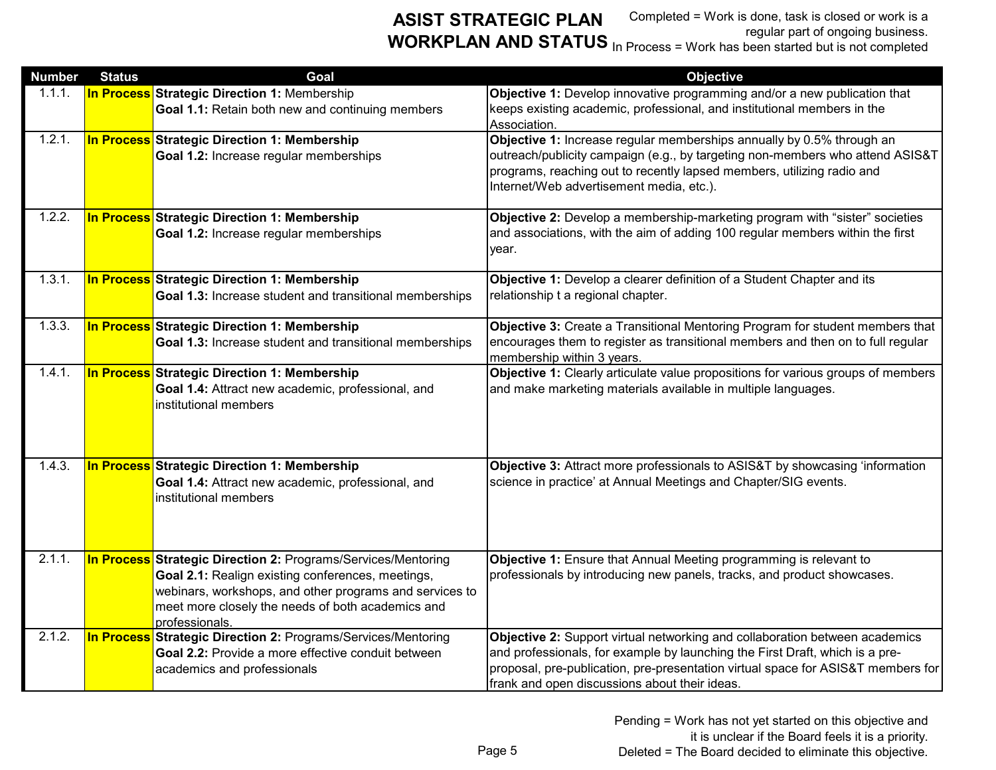**ASIST STRATEGIC PLAN WORKPLAN AND STATUS** In Process = Work has been started but is not completed

Completed = Work is done, task is closed or work is a regular part of ongoing business.

| <b>Number</b> | <b>Status</b> | Goal                                                                                                                                                                                                                                                        | <b>Objective</b>                                                                                                                                                                                                                                                                                 |
|---------------|---------------|-------------------------------------------------------------------------------------------------------------------------------------------------------------------------------------------------------------------------------------------------------------|--------------------------------------------------------------------------------------------------------------------------------------------------------------------------------------------------------------------------------------------------------------------------------------------------|
| 1.1.1.        |               | <b>In Process Strategic Direction 1: Membership</b><br>Goal 1.1: Retain both new and continuing members                                                                                                                                                     | Objective 1: Develop innovative programming and/or a new publication that<br>keeps existing academic, professional, and institutional members in the<br>Association.                                                                                                                             |
| 1.2.1.        |               | In Process Strategic Direction 1: Membership<br>Goal 1.2: Increase regular memberships                                                                                                                                                                      | Objective 1: Increase regular memberships annually by 0.5% through an<br>outreach/publicity campaign (e.g., by targeting non-members who attend ASIS&T<br>programs, reaching out to recently lapsed members, utilizing radio and<br>Internet/Web advertisement media, etc.).                     |
| 1.2.2.        |               | In Process Strategic Direction 1: Membership<br>Goal 1.2: Increase regular memberships                                                                                                                                                                      | Objective 2: Develop a membership-marketing program with "sister" societies<br>and associations, with the aim of adding 100 regular members within the first<br>year.                                                                                                                            |
| 1.3.1.        |               | In Process Strategic Direction 1: Membership<br>Goal 1.3: Increase student and transitional memberships                                                                                                                                                     | Objective 1: Develop a clearer definition of a Student Chapter and its<br>relationship t a regional chapter.                                                                                                                                                                                     |
| 1.3.3.        |               | In Process Strategic Direction 1: Membership<br>Goal 1.3: Increase student and transitional memberships                                                                                                                                                     | Objective 3: Create a Transitional Mentoring Program for student members that<br>encourages them to register as transitional members and then on to full regular<br>membership within 3 years.                                                                                                   |
| 1.4.1.        |               | In Process Strategic Direction 1: Membership<br>Goal 1.4: Attract new academic, professional, and<br>institutional members                                                                                                                                  | Objective 1: Clearly articulate value propositions for various groups of members<br>and make marketing materials available in multiple languages.                                                                                                                                                |
| 1.4.3.        |               | In Process Strategic Direction 1: Membership<br>Goal 1.4: Attract new academic, professional, and<br>institutional members                                                                                                                                  | Objective 3: Attract more professionals to ASIS&T by showcasing 'information<br>science in practice' at Annual Meetings and Chapter/SIG events.                                                                                                                                                  |
| 2.1.1.        |               | <b>In Process Strategic Direction 2: Programs/Services/Mentoring</b><br>Goal 2.1: Realign existing conferences, meetings,<br>webinars, workshops, and other programs and services to<br>meet more closely the needs of both academics and<br>professionals. | Objective 1: Ensure that Annual Meeting programming is relevant to<br>professionals by introducing new panels, tracks, and product showcases.                                                                                                                                                    |
| 2.1.2.        |               | <b>In Process Strategic Direction 2: Programs/Services/Mentoring</b><br>Goal 2.2: Provide a more effective conduit between<br>academics and professionals                                                                                                   | Objective 2: Support virtual networking and collaboration between academics<br>and professionals, for example by launching the First Draft, which is a pre-<br>proposal, pre-publication, pre-presentation virtual space for ASIS&T members for<br>frank and open discussions about their ideas. |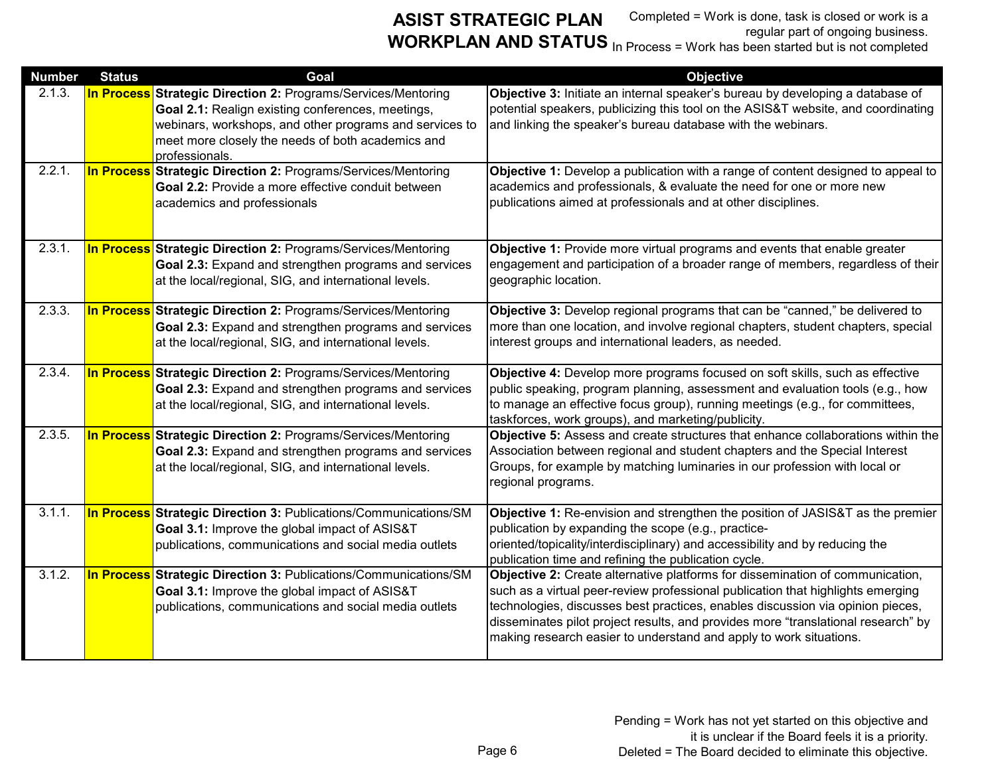| <b>Number</b> | <b>Status</b> | Goal                                                                                                                                                                                                                                                        | <b>Objective</b>                                                                                                                                                                                                                                                                                                                                                                                              |
|---------------|---------------|-------------------------------------------------------------------------------------------------------------------------------------------------------------------------------------------------------------------------------------------------------------|---------------------------------------------------------------------------------------------------------------------------------------------------------------------------------------------------------------------------------------------------------------------------------------------------------------------------------------------------------------------------------------------------------------|
| 2.1.3.        |               | <b>In Process Strategic Direction 2: Programs/Services/Mentoring</b><br>Goal 2.1: Realign existing conferences, meetings,<br>webinars, workshops, and other programs and services to<br>meet more closely the needs of both academics and<br>professionals. | Objective 3: Initiate an internal speaker's bureau by developing a database of<br>potential speakers, publicizing this tool on the ASIS&T website, and coordinating<br>and linking the speaker's bureau database with the webinars.                                                                                                                                                                           |
| 2.2.1.        |               | <b>In Process Strategic Direction 2: Programs/Services/Mentoring</b><br>Goal 2.2: Provide a more effective conduit between<br>academics and professionals                                                                                                   | Objective 1: Develop a publication with a range of content designed to appeal to<br>academics and professionals, & evaluate the need for one or more new<br>publications aimed at professionals and at other disciplines.                                                                                                                                                                                     |
| 2.3.1.        |               | <b>In Process Strategic Direction 2: Programs/Services/Mentoring</b><br>Goal 2.3: Expand and strengthen programs and services<br>at the local/regional, SIG, and international levels.                                                                      | Objective 1: Provide more virtual programs and events that enable greater<br>engagement and participation of a broader range of members, regardless of their<br>geographic location.                                                                                                                                                                                                                          |
| 2.3.3.        |               | <b>In Process Strategic Direction 2: Programs/Services/Mentoring</b><br>Goal 2.3: Expand and strengthen programs and services<br>at the local/regional, SIG, and international levels.                                                                      | Objective 3: Develop regional programs that can be "canned," be delivered to<br>more than one location, and involve regional chapters, student chapters, special<br>interest groups and international leaders, as needed.                                                                                                                                                                                     |
| 2.3.4.        |               | <b>In Process Strategic Direction 2: Programs/Services/Mentoring</b><br>Goal 2.3: Expand and strengthen programs and services<br>at the local/regional, SIG, and international levels.                                                                      | Objective 4: Develop more programs focused on soft skills, such as effective<br>public speaking, program planning, assessment and evaluation tools (e.g., how<br>to manage an effective focus group), running meetings (e.g., for committees,<br>taskforces, work groups), and marketing/publicity.                                                                                                           |
| 2.3.5.        |               | <b>In Process Strategic Direction 2: Programs/Services/Mentoring</b><br>Goal 2.3: Expand and strengthen programs and services<br>at the local/regional, SIG, and international levels.                                                                      | Objective 5: Assess and create structures that enhance collaborations within the<br>Association between regional and student chapters and the Special Interest<br>Groups, for example by matching luminaries in our profession with local or<br>regional programs.                                                                                                                                            |
| 3.1.1.        |               | In Process Strategic Direction 3: Publications/Communications/SM<br>Goal 3.1: Improve the global impact of ASIS&T<br>publications, communications and social media outlets                                                                                  | Objective 1: Re-envision and strengthen the position of JASIS&T as the premier<br>publication by expanding the scope (e.g., practice-<br>oriented/topicality/interdisciplinary) and accessibility and by reducing the<br>publication time and refining the publication cycle.                                                                                                                                 |
| 3.1.2.        |               | <b>In Process Strategic Direction 3: Publications/Communications/SM</b><br>Goal 3.1: Improve the global impact of ASIS&T<br>publications, communications and social media outlets                                                                           | Objective 2: Create alternative platforms for dissemination of communication,<br>such as a virtual peer-review professional publication that highlights emerging<br>technologies, discusses best practices, enables discussion via opinion pieces,<br>disseminates pilot project results, and provides more "translational research" by<br>making research easier to understand and apply to work situations. |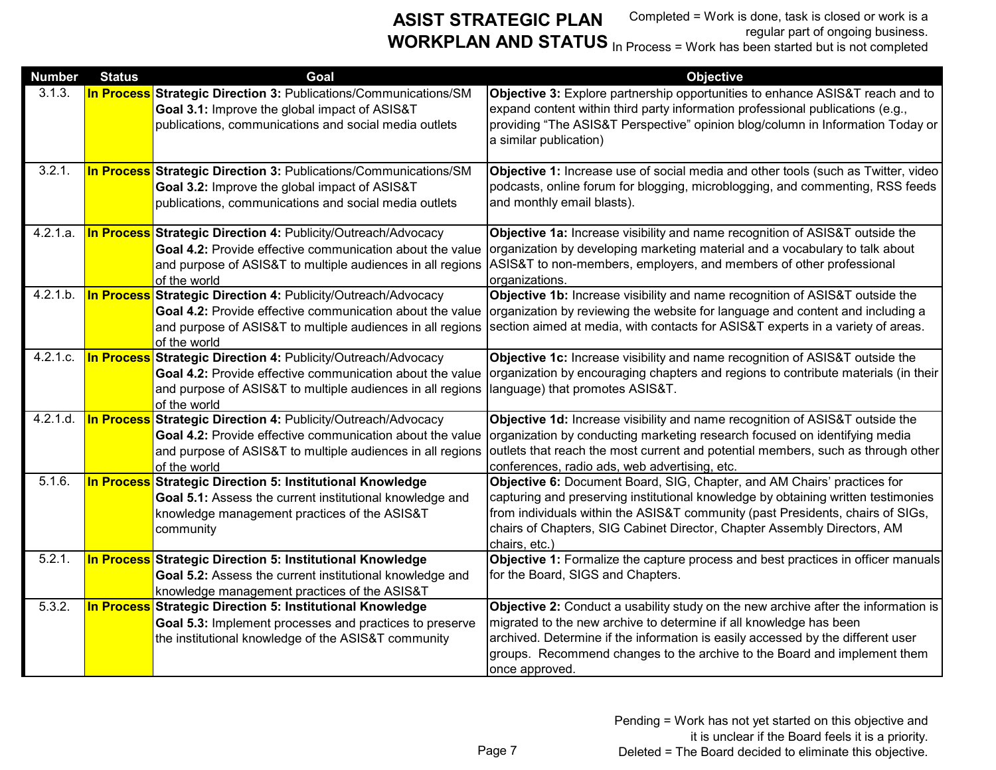| <b>Number</b>         | <b>Status</b> | Goal                                                                                                                                                                                                            | <b>Objective</b>                                                                                                                                                                                                                                                                                                                            |
|-----------------------|---------------|-----------------------------------------------------------------------------------------------------------------------------------------------------------------------------------------------------------------|---------------------------------------------------------------------------------------------------------------------------------------------------------------------------------------------------------------------------------------------------------------------------------------------------------------------------------------------|
| 3.1.3.                |               | <b>In Process Strategic Direction 3: Publications/Communications/SM</b><br>Goal 3.1: Improve the global impact of ASIS&T<br>publications, communications and social media outlets                               | Objective 3: Explore partnership opportunities to enhance ASIS&T reach and to<br>expand content within third party information professional publications (e.g.,<br>providing "The ASIS&T Perspective" opinion blog/column in Information Today or<br>a similar publication)                                                                 |
| 3.2.1.                |               | <b>In Process Strategic Direction 3: Publications/Communications/SM</b><br>Goal 3.2: Improve the global impact of ASIS&T<br>publications, communications and social media outlets                               | Objective 1: Increase use of social media and other tools (such as Twitter, video<br>podcasts, online forum for blogging, microblogging, and commenting, RSS feeds<br>and monthly email blasts).                                                                                                                                            |
| 4.2.1.a.              |               | <b>In Process Strategic Direction 4: Publicity/Outreach/Advocacy</b><br>Goal 4.2: Provide effective communication about the value<br>and purpose of ASIS&T to multiple audiences in all regions<br>of the world | Objective 1a: Increase visibility and name recognition of ASIS&T outside the<br>organization by developing marketing material and a vocabulary to talk about<br>ASIS&T to non-members, employers, and members of other professional<br>organizations.                                                                                       |
| 4.2.1.b.              |               | In Process Strategic Direction 4: Publicity/Outreach/Advocacy<br>Goal 4.2: Provide effective communication about the value<br>and purpose of ASIS&T to multiple audiences in all regions<br>of the world        | Objective 1b: Increase visibility and name recognition of ASIS&T outside the<br>organization by reviewing the website for language and content and including a<br>section aimed at media, with contacts for ASIS&T experts in a variety of areas.                                                                                           |
| $\overline{4.2.1.c.}$ |               | In Process Strategic Direction 4: Publicity/Outreach/Advocacy<br>Goal 4.2: Provide effective communication about the value<br>and purpose of ASIS&T to multiple audiences in all regions<br>of the world        | Objective 1c: Increase visibility and name recognition of ASIS&T outside the<br>organization by encouraging chapters and regions to contribute materials (in their<br>language) that promotes ASIS&T.                                                                                                                                       |
| 4.2.1.d.              |               | <b>In Process Strategic Direction 4: Publicity/Outreach/Advocacy</b><br>Goal 4.2: Provide effective communication about the value<br>and purpose of ASIS&T to multiple audiences in all regions<br>of the world | Objective 1d: Increase visibility and name recognition of ASIS&T outside the<br>organization by conducting marketing research focused on identifying media<br>outlets that reach the most current and potential members, such as through other<br>conferences, radio ads, web advertising, etc.                                             |
| 5.1.6.                |               | In Process Strategic Direction 5: Institutional Knowledge<br>Goal 5.1: Assess the current institutional knowledge and<br>knowledge management practices of the ASIS&T<br>community                              | Objective 6: Document Board, SIG, Chapter, and AM Chairs' practices for<br>capturing and preserving institutional knowledge by obtaining written testimonies<br>from individuals within the ASIS&T community (past Presidents, chairs of SIGs,<br>chairs of Chapters, SIG Cabinet Director, Chapter Assembly Directors, AM<br>chairs, etc.) |
| 5.2.1.                |               | In Process Strategic Direction 5: Institutional Knowledge<br>Goal 5.2: Assess the current institutional knowledge and<br>knowledge management practices of the ASIS&T                                           | Objective 1: Formalize the capture process and best practices in officer manuals<br>for the Board, SIGS and Chapters.                                                                                                                                                                                                                       |
| 5.3.2.                |               | In Process Strategic Direction 5: Institutional Knowledge<br>Goal 5.3: Implement processes and practices to preserve<br>the institutional knowledge of the ASIS&T community                                     | Objective 2: Conduct a usability study on the new archive after the information is<br>migrated to the new archive to determine if all knowledge has been<br>archived. Determine if the information is easily accessed by the different user<br>groups. Recommend changes to the archive to the Board and implement them<br>once approved.   |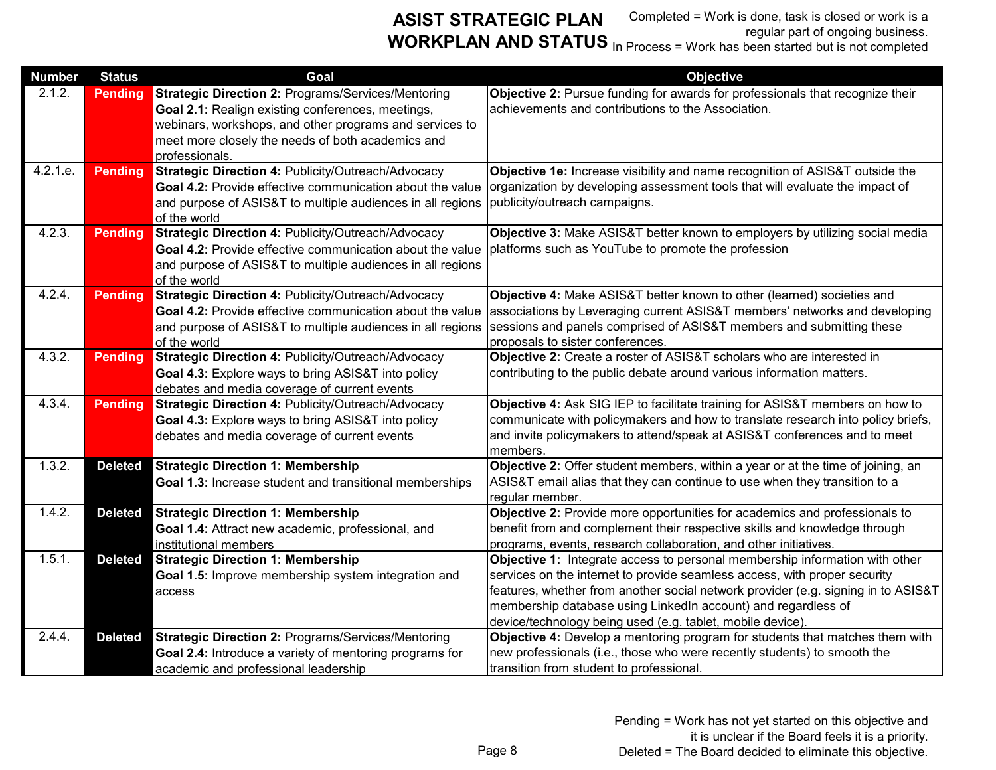| <b>Number</b> | <b>Status</b>  | Goal                                                                                                           | <b>Objective</b>                                                                                                                                             |
|---------------|----------------|----------------------------------------------------------------------------------------------------------------|--------------------------------------------------------------------------------------------------------------------------------------------------------------|
| 2.1.2.        | <b>Pending</b> | <b>Strategic Direction 2: Programs/Services/Mentoring</b><br>Goal 2.1: Realign existing conferences, meetings, | Objective 2: Pursue funding for awards for professionals that recognize their<br>achievements and contributions to the Association.                          |
|               |                | webinars, workshops, and other programs and services to                                                        |                                                                                                                                                              |
|               |                | meet more closely the needs of both academics and<br>professionals.                                            |                                                                                                                                                              |
| 4.2.1.e.      | <b>Pending</b> | Strategic Direction 4: Publicity/Outreach/Advocacy                                                             | Objective 1e: Increase visibility and name recognition of ASIS&T outside the                                                                                 |
|               |                | Goal 4.2: Provide effective communication about the value                                                      | organization by developing assessment tools that will evaluate the impact of                                                                                 |
|               |                | and purpose of ASIS&T to multiple audiences in all regions<br>of the world                                     | publicity/outreach campaigns.                                                                                                                                |
| 4.2.3.        | <b>Pending</b> | Strategic Direction 4: Publicity/Outreach/Advocacy                                                             | Objective 3: Make ASIS&T better known to employers by utilizing social media                                                                                 |
|               |                | Goal 4.2: Provide effective communication about the value                                                      | platforms such as YouTube to promote the profession                                                                                                          |
|               |                | and purpose of ASIS&T to multiple audiences in all regions<br>of the world                                     |                                                                                                                                                              |
| 4.2.4.        | <b>Pending</b> | Strategic Direction 4: Publicity/Outreach/Advocacy                                                             | Objective 4: Make ASIS&T better known to other (learned) societies and                                                                                       |
|               |                | Goal 4.2: Provide effective communication about the value                                                      | associations by Leveraging current ASIS&T members' networks and developing                                                                                   |
|               |                | and purpose of ASIS&T to multiple audiences in all regions<br>of the world                                     | sessions and panels comprised of ASIS&T members and submitting these<br>proposals to sister conferences.                                                     |
| 4.3.2.        | <b>Pending</b> | Strategic Direction 4: Publicity/Outreach/Advocacy                                                             | Objective 2: Create a roster of ASIS&T scholars who are interested in                                                                                        |
|               |                | Goal 4.3: Explore ways to bring ASIS&T into policy                                                             | contributing to the public debate around various information matters.                                                                                        |
|               |                | debates and media coverage of current events                                                                   |                                                                                                                                                              |
| 4.3.4.        | <b>Pending</b> | Strategic Direction 4: Publicity/Outreach/Advocacy                                                             | Objective 4: Ask SIG IEP to facilitate training for ASIS&T members on how to                                                                                 |
|               |                | Goal 4.3: Explore ways to bring ASIS&T into policy<br>debates and media coverage of current events             | communicate with policymakers and how to translate research into policy briefs,<br>and invite policymakers to attend/speak at ASIS&T conferences and to meet |
|               |                |                                                                                                                | members.                                                                                                                                                     |
| 1.3.2.        | <b>Deleted</b> | <b>Strategic Direction 1: Membership</b>                                                                       | Objective 2: Offer student members, within a year or at the time of joining, an                                                                              |
|               |                | Goal 1.3: Increase student and transitional memberships                                                        | ASIS&T email alias that they can continue to use when they transition to a                                                                                   |
| 1.4.2.        | <b>Deleted</b> | <b>Strategic Direction 1: Membership</b>                                                                       | regular member.<br>Objective 2: Provide more opportunities for academics and professionals to                                                                |
|               |                | Goal 1.4: Attract new academic, professional, and                                                              | benefit from and complement their respective skills and knowledge through                                                                                    |
|               |                | institutional members                                                                                          | programs, events, research collaboration, and other initiatives.                                                                                             |
| 1.5.1.        | <b>Deleted</b> | <b>Strategic Direction 1: Membership</b>                                                                       | Objective 1: Integrate access to personal membership information with other                                                                                  |
|               |                | Goal 1.5: Improve membership system integration and                                                            | services on the internet to provide seamless access, with proper security                                                                                    |
|               |                | access                                                                                                         | features, whether from another social network provider (e.g. signing in to ASIS&T<br>membership database using LinkedIn account) and regardless of           |
|               |                |                                                                                                                | device/technology being used (e.g. tablet, mobile device).                                                                                                   |
| 2.4.4.        | <b>Deleted</b> | <b>Strategic Direction 2: Programs/Services/Mentoring</b>                                                      | Objective 4: Develop a mentoring program for students that matches them with                                                                                 |
|               |                | Goal 2.4: Introduce a variety of mentoring programs for                                                        | new professionals (i.e., those who were recently students) to smooth the                                                                                     |
|               |                | academic and professional leadership                                                                           | transition from student to professional.                                                                                                                     |